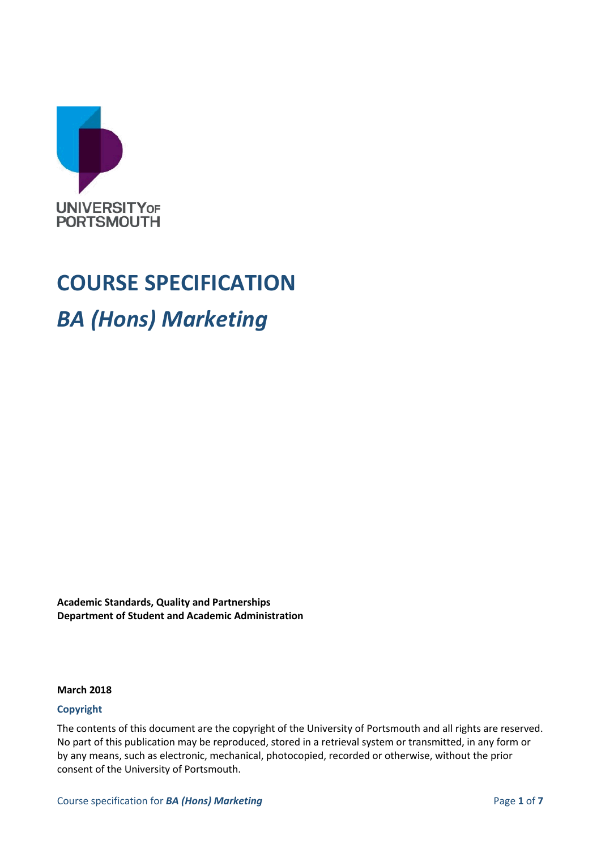

## **COURSE SPECIFICATION**

## *BA (Hons) Marketing*

**Academic Standards, Quality and Partnerships Department of Student and Academic Administration**

#### **March 2018**

#### **Copyright**

The contents of this document are the copyright of the University of Portsmouth and all rights are reserved. No part of this publication may be reproduced, stored in a retrieval system or transmitted, in any form or by any means, such as electronic, mechanical, photocopied, recorded or otherwise, without the prior consent of the University of Portsmouth.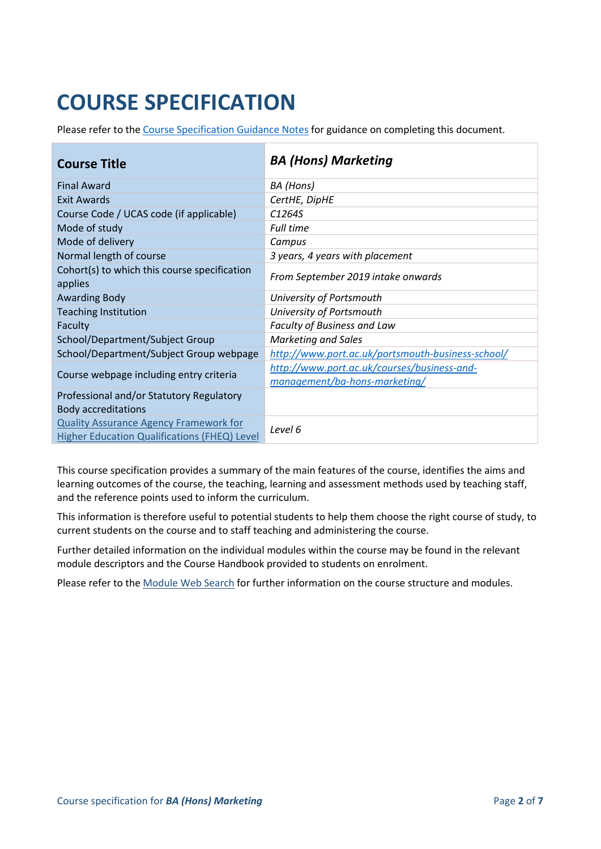# **COURSE SPECIFICATION**

Please refer to the [Course Specification Guidance Notes](http://www.port.ac.uk/departments/services/academicregistry/qmd/curriculum-framework-2019-20/filetodownload,201767,en.docx) for guidance on completing this document.

| <b>Course Title</b>                                                                                  | <b>BA (Hons) Marketing</b>                                                   |
|------------------------------------------------------------------------------------------------------|------------------------------------------------------------------------------|
| <b>Final Award</b>                                                                                   | BA (Hons)                                                                    |
| <b>Exit Awards</b>                                                                                   | CertHE, DipHE                                                                |
| Course Code / UCAS code (if applicable)                                                              | C <sub>1264S</sub>                                                           |
| Mode of study                                                                                        | <b>Full time</b>                                                             |
| Mode of delivery                                                                                     | Campus                                                                       |
| Normal length of course                                                                              | 3 years, 4 years with placement                                              |
| Cohort(s) to which this course specification<br>applies                                              | From September 2019 intake onwards                                           |
| <b>Awarding Body</b>                                                                                 | University of Portsmouth                                                     |
| <b>Teaching Institution</b>                                                                          | University of Portsmouth                                                     |
| Faculty                                                                                              | Faculty of Business and Law                                                  |
| School/Department/Subject Group                                                                      | Marketing and Sales                                                          |
| School/Department/Subject Group webpage                                                              | http://www.port.ac.uk/portsmouth-business-school/                            |
| Course webpage including entry criteria                                                              | http://www.port.ac.uk/courses/business-and-<br>management/ba-hons-marketing/ |
| Professional and/or Statutory Regulatory<br><b>Body accreditations</b>                               |                                                                              |
| <b>Quality Assurance Agency Framework for</b><br><b>Higher Education Qualifications (FHEQ) Level</b> | Level 6                                                                      |

This course specification provides a summary of the main features of the course, identifies the aims and learning outcomes of the course, the teaching, learning and assessment methods used by teaching staff, and the reference points used to inform the curriculum.

This information is therefore useful to potential students to help them choose the right course of study, to current students on the course and to staff teaching and administering the course.

Further detailed information on the individual modules within the course may be found in the relevant module descriptors and the Course Handbook provided to students on enrolment.

Please refer to the [Module Web Search](https://register.port.ac.uk/ords/f?p=111:1:0:::::) for further information on the course structure and modules.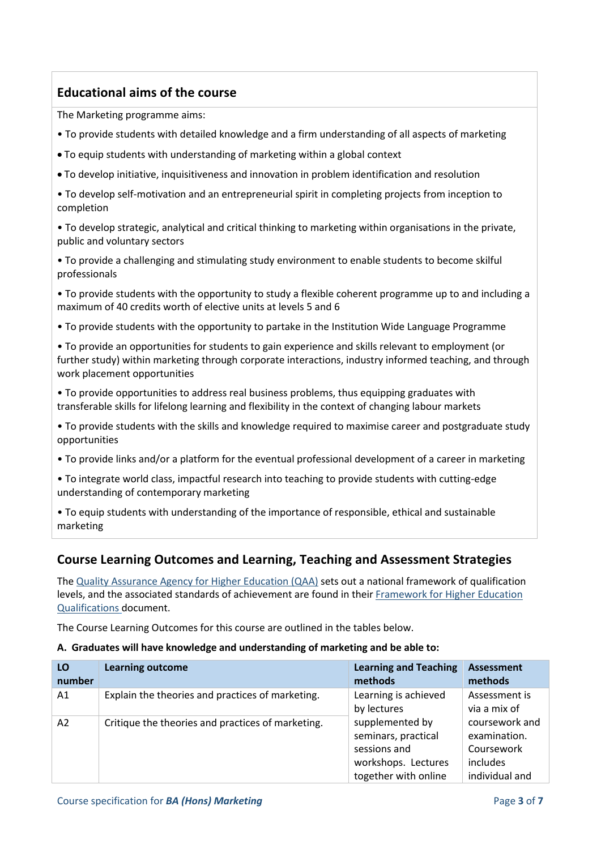## **Educational aims of the course**

The Marketing programme aims:

- To provide students with detailed knowledge and a firm understanding of all aspects of marketing
- To equip students with understanding of marketing within a global context
- To develop initiative, inquisitiveness and innovation in problem identification and resolution
- To develop self-motivation and an entrepreneurial spirit in completing projects from inception to completion

• To develop strategic, analytical and critical thinking to marketing within organisations in the private, public and voluntary sectors

• To provide a challenging and stimulating study environment to enable students to become skilful professionals

• To provide students with the opportunity to study a flexible coherent programme up to and including a maximum of 40 credits worth of elective units at levels 5 and 6

• To provide students with the opportunity to partake in the Institution Wide Language Programme

• To provide an opportunities for students to gain experience and skills relevant to employment (or further study) within marketing through corporate interactions, industry informed teaching, and through work placement opportunities

• To provide opportunities to address real business problems, thus equipping graduates with transferable skills for lifelong learning and flexibility in the context of changing labour markets

• To provide students with the skills and knowledge required to maximise career and postgraduate study opportunities

- To provide links and/or a platform for the eventual professional development of a career in marketing
- To integrate world class, impactful research into teaching to provide students with cutting-edge understanding of contemporary marketing

• To equip students with understanding of the importance of responsible, ethical and sustainable marketing

## **Course Learning Outcomes and Learning, Teaching and Assessment Strategies**

The [Quality Assurance Agency for Higher Education \(QAA\)](http://www.qaa.ac.uk/en) sets out a national framework of qualification levels, and the associated standards of achievement are found in their [Framework for Higher Education](http://www.qaa.ac.uk/publications/information-and-guidance/publication/?PubID=2718#.WpmPXWrFL3i)  [Qualifications](http://www.qaa.ac.uk/publications/information-and-guidance/publication/?PubID=2718#.WpmPXWrFL3i) document.

The Course Learning Outcomes for this course are outlined in the tables below.

#### **A. Graduates will have knowledge and understanding of marketing and be able to:**

| LO<br>number | <b>Learning outcome</b>                           | <b>Learning and Teaching</b><br>methods                                                                                                      | <b>Assessment</b><br>methods                                               |
|--------------|---------------------------------------------------|----------------------------------------------------------------------------------------------------------------------------------------------|----------------------------------------------------------------------------|
| A1           | Explain the theories and practices of marketing.  | Learning is achieved<br>by lectures<br>supplemented by<br>seminars, practical<br>sessions and<br>workshops. Lectures<br>together with online | Assessment is<br>via a mix of                                              |
| A2           | Critique the theories and practices of marketing. |                                                                                                                                              | coursework and<br>examination.<br>Coursework<br>includes<br>individual and |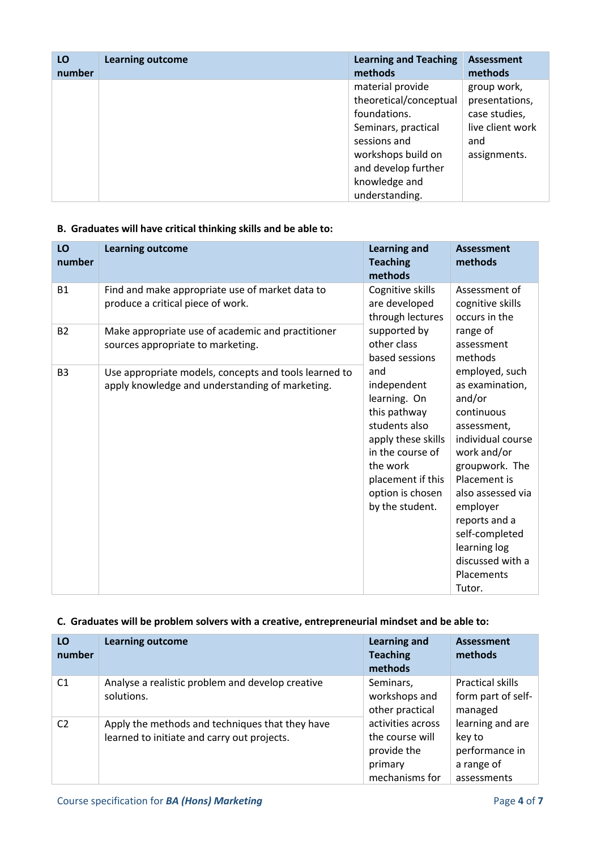| LO     | <b>Learning outcome</b> | <b>Learning and Teaching</b>                                                                                                                                                      | <b>Assessment</b>                                                                         |
|--------|-------------------------|-----------------------------------------------------------------------------------------------------------------------------------------------------------------------------------|-------------------------------------------------------------------------------------------|
| number |                         | methods                                                                                                                                                                           | methods                                                                                   |
|        |                         | material provide<br>theoretical/conceptual<br>foundations.<br>Seminars, practical<br>sessions and<br>workshops build on<br>and develop further<br>knowledge and<br>understanding. | group work,<br>presentations,<br>case studies,<br>live client work<br>and<br>assignments. |

## **B. Graduates will have critical thinking skills and be able to:**

| LO<br>number   | <b>Learning outcome</b>                                                                                  | <b>Learning and</b><br><b>Teaching</b><br>methods                                                                                                                                     | <b>Assessment</b><br>methods                                                                                                                                                                                                                                                   |  |
|----------------|----------------------------------------------------------------------------------------------------------|---------------------------------------------------------------------------------------------------------------------------------------------------------------------------------------|--------------------------------------------------------------------------------------------------------------------------------------------------------------------------------------------------------------------------------------------------------------------------------|--|
| <b>B1</b>      | Find and make appropriate use of market data to<br>produce a critical piece of work.                     | Cognitive skills<br>are developed<br>through lectures                                                                                                                                 | Assessment of<br>cognitive skills<br>occurs in the                                                                                                                                                                                                                             |  |
| <b>B2</b>      | Make appropriate use of academic and practitioner<br>sources appropriate to marketing.                   | supported by<br>other class<br>based sessions                                                                                                                                         | range of<br>assessment<br>methods                                                                                                                                                                                                                                              |  |
| B <sub>3</sub> | Use appropriate models, concepts and tools learned to<br>apply knowledge and understanding of marketing. | and<br>independent<br>learning. On<br>this pathway<br>students also<br>apply these skills<br>in the course of<br>the work<br>placement if this<br>option is chosen<br>by the student. | employed, such<br>as examination,<br>and/or<br>continuous<br>assessment,<br>individual course<br>work and/or<br>groupwork. The<br>Placement is<br>also assessed via<br>employer<br>reports and a<br>self-completed<br>learning log<br>discussed with a<br>Placements<br>Tutor. |  |

### **C. Graduates will be problem solvers with a creative, entrepreneurial mindset and be able to:**

| LO<br>number   | <b>Learning outcome</b>                                                                        | <b>Learning and</b><br><b>Teaching</b><br>methods                                | <b>Assessment</b><br>methods                                              |
|----------------|------------------------------------------------------------------------------------------------|----------------------------------------------------------------------------------|---------------------------------------------------------------------------|
| C <sub>1</sub> | Analyse a realistic problem and develop creative<br>solutions.                                 | Seminars,<br>workshops and<br>other practical                                    | Practical skills<br>form part of self-<br>managed                         |
| C <sub>2</sub> | Apply the methods and techniques that they have<br>learned to initiate and carry out projects. | activities across<br>the course will<br>provide the<br>primary<br>mechanisms for | learning and are<br>key to<br>performance in<br>a range of<br>assessments |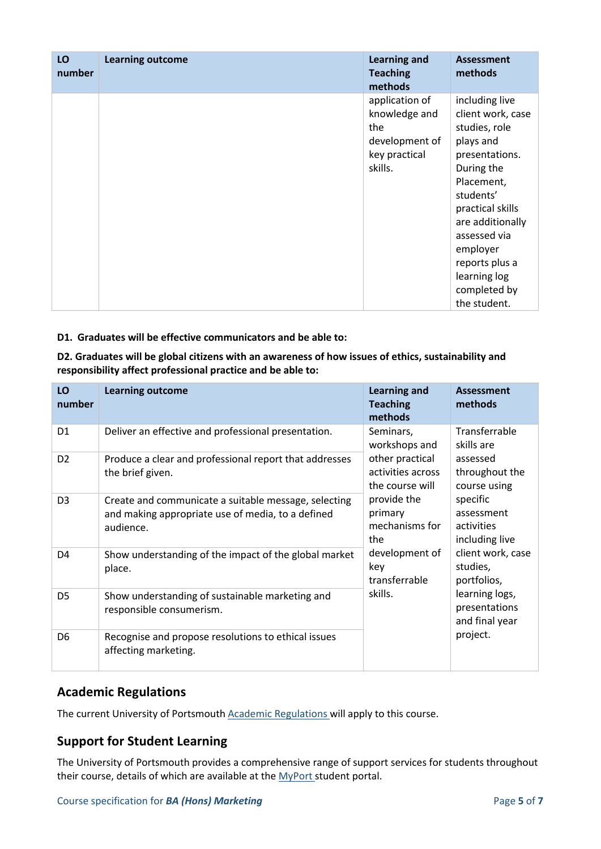| LO<br>number | <b>Learning outcome</b> | <b>Learning and</b><br><b>Teaching</b><br>methods                                    | <b>Assessment</b><br>methods                                                                                                                                                                                                                                       |
|--------------|-------------------------|--------------------------------------------------------------------------------------|--------------------------------------------------------------------------------------------------------------------------------------------------------------------------------------------------------------------------------------------------------------------|
|              |                         | application of<br>knowledge and<br>the<br>development of<br>key practical<br>skills. | including live<br>client work, case<br>studies, role<br>plays and<br>presentations.<br>During the<br>Placement,<br>students'<br>practical skills<br>are additionally<br>assessed via<br>employer<br>reports plus a<br>learning log<br>completed by<br>the student. |

#### **D1. Graduates will be effective communicators and be able to:**

#### **D2. Graduates will be global citizens with an awareness of how issues of ethics, sustainability and responsibility affect professional practice and be able to:**

| LO<br>number   | <b>Learning outcome</b>                                                                                                | <b>Learning and</b><br><b>Teaching</b><br>methods                                                                                                               | <b>Assessment</b><br>methods                                                                                                                                                                                          |
|----------------|------------------------------------------------------------------------------------------------------------------------|-----------------------------------------------------------------------------------------------------------------------------------------------------------------|-----------------------------------------------------------------------------------------------------------------------------------------------------------------------------------------------------------------------|
| D <sub>1</sub> | Deliver an effective and professional presentation.                                                                    | Seminars,<br>workshops and                                                                                                                                      | Transferrable<br>skills are                                                                                                                                                                                           |
| D <sub>2</sub> | Produce a clear and professional report that addresses<br>the brief given.                                             | other practical<br>activities across<br>the course will<br>provide the<br>primary<br>mechanisms for<br>the<br>development of<br>key<br>transferrable<br>skills. | assessed<br>throughout the<br>course using<br>specific<br>assessment<br>activities<br>including live<br>client work, case<br>studies,<br>portfolios,<br>learning logs,<br>presentations<br>and final year<br>project. |
| D <sub>3</sub> | Create and communicate a suitable message, selecting<br>and making appropriate use of media, to a defined<br>audience. |                                                                                                                                                                 |                                                                                                                                                                                                                       |
| D <sub>4</sub> | Show understanding of the impact of the global market<br>place.                                                        |                                                                                                                                                                 |                                                                                                                                                                                                                       |
| D <sub>5</sub> | Show understanding of sustainable marketing and<br>responsible consumerism.                                            |                                                                                                                                                                 |                                                                                                                                                                                                                       |
| D <sub>6</sub> | Recognise and propose resolutions to ethical issues<br>affecting marketing.                                            |                                                                                                                                                                 |                                                                                                                                                                                                                       |

## **Academic Regulations**

The current University of Portsmouth **Academic Regulations** will apply to this course.

## **Support for Student Learning**

The University of Portsmouth provides a comprehensive range of support services for students throughout their course, details of which are available at the [MyPort](http://myport.ac.uk/) student portal.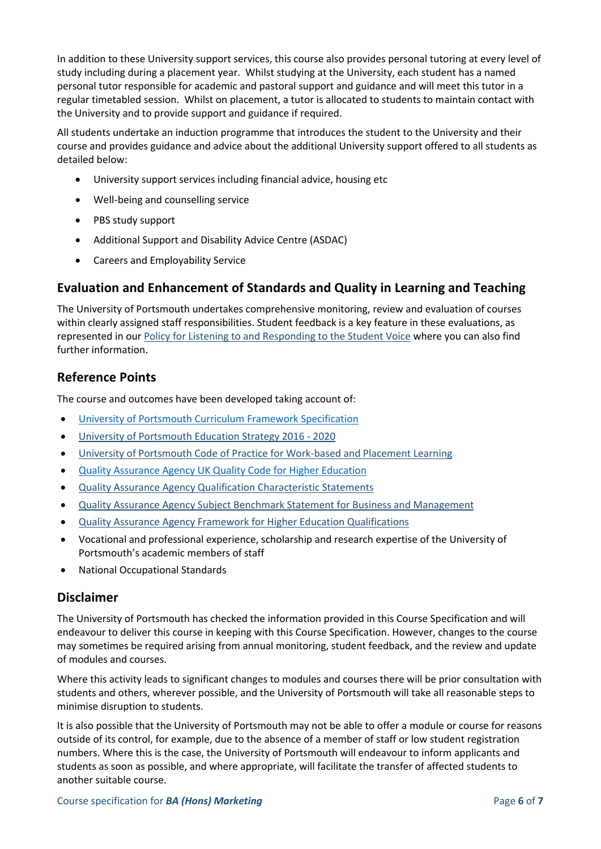In addition to these University support services, this course also provides personal tutoring at every level of study including during a placement year. Whilst studying at the University, each student has a named personal tutor responsible for academic and pastoral support and guidance and will meet this tutor in a regular timetabled session. Whilst on placement, a tutor is allocated to students to maintain contact with the University and to provide support and guidance if required.

All students undertake an induction programme that introduces the student to the University and their course and provides guidance and advice about the additional University support offered to all students as detailed below:

- University support services including financial advice, housing etc
- Well-being and counselling service
- PBS study support
- Additional Support and Disability Advice Centre (ASDAC)
- Careers and Employability Service

### **Evaluation and Enhancement of Standards and Quality in Learning and Teaching**

The University of Portsmouth undertakes comprehensive monitoring, review and evaluation of courses within clearly assigned staff responsibilities. Student feedback is a key feature in these evaluations, as represented in our [Policy for Listening to and Responding to the Student Voice](http://policies.docstore.port.ac.uk/policy-069.pdf) where you can also find further information.

#### **Reference Points**

The course and outcomes have been developed taking account of:

- [University of Portsmouth Curriculum Framework Specification](http://www.port.ac.uk/departments/services/academicregistry/qmd/curriculum-framework-2019-20/filetodownload,201776,en.pdf)
- University of [Portsmouth Education Strategy 2016 -](http://policies.docstore.port.ac.uk/policy-187.pdf) 2020
- [University of Portsmouth Code of Practice for Work-based and Placement Learning](http://policies.docstore.port.ac.uk/policy-151.pdf)
- [Quality Assurance Agency UK Quality Code for Higher Education](http://www.qaa.ac.uk/assuring-standards-and-quality/the-quality-code/)
- [Quality Assurance Agency Qualification Characteristic Statements](http://www.qaa.ac.uk/assuring-standards-and-quality/the-quality-code/characteristics-statements)
- [Quality Assurance Agency Subject Benchmark Statement for Business and Management](http://www.qaa.ac.uk/assuring-standards-and-quality/the-quality-code/subject-benchmark-statements)
- [Quality Assurance Agency Framework for Higher Education Qualifications](http://www.qaa.ac.uk/publications/information-and-guidance/publication/?PubID=2718#.WpnZNmrFL3j)
- Vocational and professional experience, scholarship and research expertise of the University of Portsmouth's academic members of staff
- National Occupational Standards

#### **Disclaimer**

The University of Portsmouth has checked the information provided in this Course Specification and will endeavour to deliver this course in keeping with this Course Specification. However, changes to the course may sometimes be required arising from annual monitoring, student feedback, and the review and update of modules and courses.

Where this activity leads to significant changes to modules and courses there will be prior consultation with students and others, wherever possible, and the University of Portsmouth will take all reasonable steps to minimise disruption to students.

It is also possible that the University of Portsmouth may not be able to offer a module or course for reasons outside of its control, for example, due to the absence of a member of staff or low student registration numbers. Where this is the case, the University of Portsmouth will endeavour to inform applicants and students as soon as possible, and where appropriate, will facilitate the transfer of affected students to another suitable course.